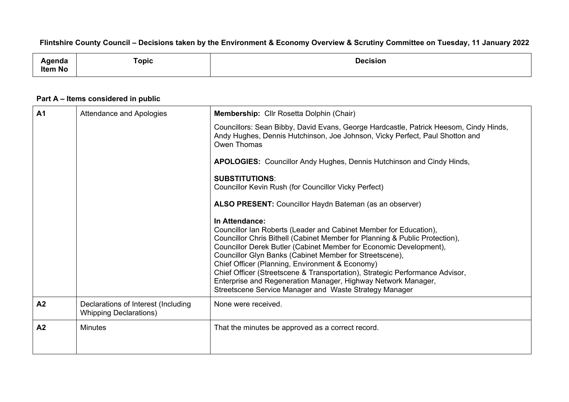## Flintshire County Council - Decisions taken by the Environment & Economy Overview & Scrutiny Committee on Tuesday, 11 January 2022

| uua            | $\sim$<br>opic | <b>Decision</b><br>. |
|----------------|----------------|----------------------|
| <b>Item No</b> |                |                      |

## **Part A – Items considered in public**

| A <sub>1</sub> | Attendance and Apologies                                             | Membership: Cllr Rosetta Dolphin (Chair)                                                                                                                                                                                                                                                                                                                                                                                                                                                                                                                          |
|----------------|----------------------------------------------------------------------|-------------------------------------------------------------------------------------------------------------------------------------------------------------------------------------------------------------------------------------------------------------------------------------------------------------------------------------------------------------------------------------------------------------------------------------------------------------------------------------------------------------------------------------------------------------------|
|                |                                                                      | Councillors: Sean Bibby, David Evans, George Hardcastle, Patrick Heesom, Cindy Hinds,<br>Andy Hughes, Dennis Hutchinson, Joe Johnson, Vicky Perfect, Paul Shotton and<br>Owen Thomas                                                                                                                                                                                                                                                                                                                                                                              |
|                |                                                                      | APOLOGIES: Councillor Andy Hughes, Dennis Hutchinson and Cindy Hinds,                                                                                                                                                                                                                                                                                                                                                                                                                                                                                             |
|                |                                                                      | <b>SUBSTITUTIONS:</b><br><b>Councillor Kevin Rush (for Councillor Vicky Perfect)</b>                                                                                                                                                                                                                                                                                                                                                                                                                                                                              |
|                |                                                                      | ALSO PRESENT: Councillor Haydn Bateman (as an observer)                                                                                                                                                                                                                                                                                                                                                                                                                                                                                                           |
|                |                                                                      | In Attendance:<br>Councillor Ian Roberts (Leader and Cabinet Member for Education),<br>Councillor Chris Bithell (Cabinet Member for Planning & Public Protection),<br>Councillor Derek Butler (Cabinet Member for Economic Development),<br>Councillor Glyn Banks (Cabinet Member for Streetscene),<br>Chief Officer (Planning, Environment & Economy)<br>Chief Officer (Streetscene & Transportation), Strategic Performance Advisor,<br>Enterprise and Regeneration Manager, Highway Network Manager,<br>Streetscene Service Manager and Waste Strategy Manager |
| A <sub>2</sub> | Declarations of Interest (Including<br><b>Whipping Declarations)</b> | None were received.                                                                                                                                                                                                                                                                                                                                                                                                                                                                                                                                               |
| A <sub>2</sub> | <b>Minutes</b>                                                       | That the minutes be approved as a correct record.                                                                                                                                                                                                                                                                                                                                                                                                                                                                                                                 |